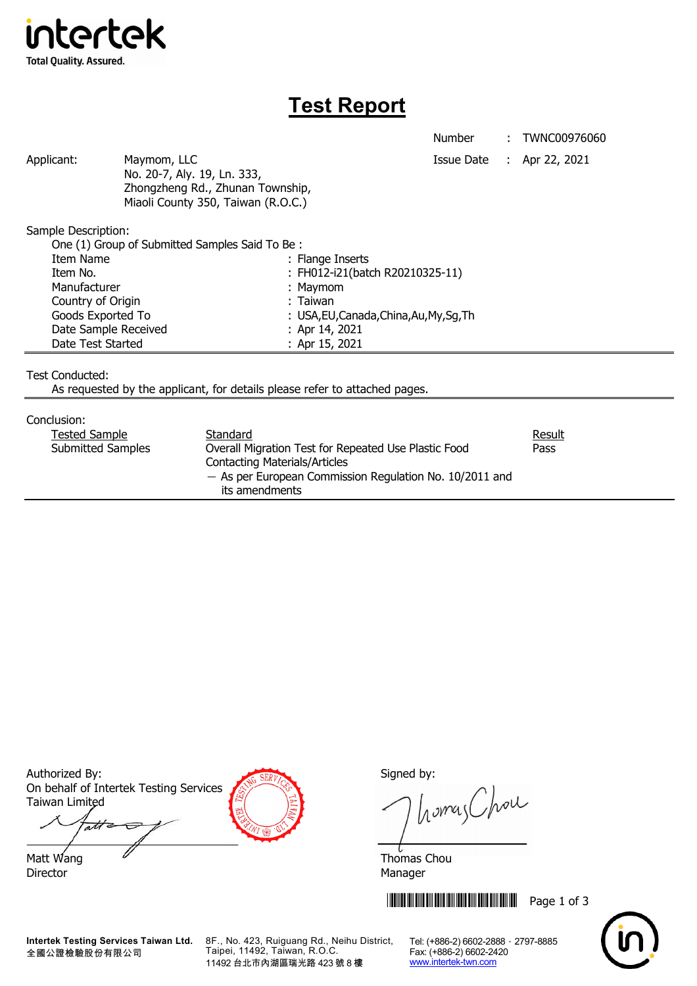

## **Test Report**

Number : TWNC00976060

Applicant: Maymom, LLC Maymon, LLC Applicant: Apr 22, 2021 No. 20-7, Aly. 19, Ln. 333, Zhongzheng Rd., Zhunan Township, Miaoli County 350, Taiwan (R.O.C.)

Sample Description:

| One (1) Group of Submitted Samples Said To Be: |                                          |
|------------------------------------------------|------------------------------------------|
| Item Name                                      | : Flange Inserts                         |
| Item No.                                       | : FH012-i21(batch R20210325-11)          |
| Manufacturer                                   | : Maymom                                 |
| Country of Origin                              | : Taiwan                                 |
| Goods Exported To                              | : USA, EU, Canada, China, Au, My, Sq, Th |
| Date Sample Received                           | : Apr 14, 2021                           |
| Date Test Started                              | : Apr 15, 2021                           |

Test Conducted:

As requested by the applicant, for details please refer to attached pages.

Conclusion:

| Standard                                                  | Result |
|-----------------------------------------------------------|--------|
| Overall Migration Test for Repeated Use Plastic Food      | Pass   |
| <b>Contacting Materials/Articles</b>                      |        |
| $-$ As per European Commission Regulation No. 10/2011 and |        |
| its amendments                                            |        |
|                                                           |        |

Authorized By: Signed by: Signed by: On behalf of Intertek Testing Services Taiwan Limited

att Matt Wang  $\overline{a}$  Matt Wang  $\overline{a}$ 

Director Manager

homas Chou

**THEFT READERS THE READER IN THE READER IN 1999 Page 1 of 3** 



**Intertek Testing Services Taiwan Ltd.** 全國公證檢驗股份有限公司

8F., No. 423, Ruiguang Rd., Neihu District, Taipei, 11492, Taiwan, R.O.C. 11492 台北市內湖區瑞光路 423 號 8 樓

Tel: (+886-2) 6602-2888 · 2797-8885 Fax: (+886-2) 6602-2420 www.intertek-twn.com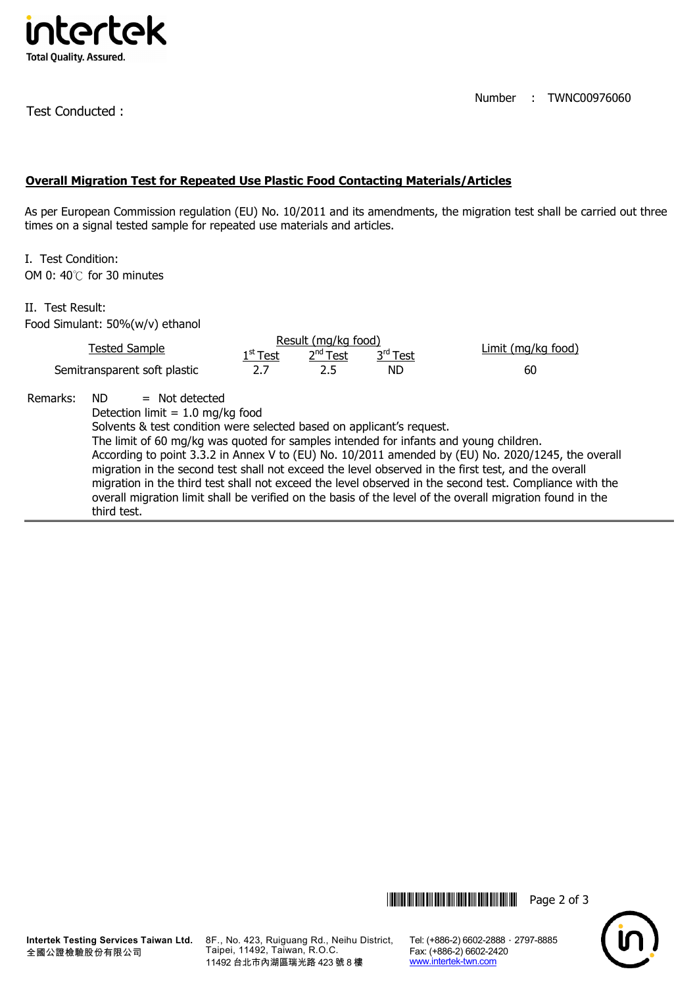

Test Conducted :

Number : TWNC00976060

## **Overall Migration Test for Repeated Use Plastic Food Contacting Materials/Articles**

As per European Commission regulation (EU) No. 10/2011 and its amendments, the migration test shall be carried out three times on a signal tested sample for repeated use materials and articles.

I. Test Condition: OM 0: 40℃ for 30 minutes

II. Test Result: Food Simulant: 50%(w/v) ethanol

| <b>Tested Sample</b>                                                                                                                                                                                                                                                                                                                                                                                                                                                                                                                                                                                                                                                                            |  | Result (mg/kg food)<br>2 <sup>nd</sup> Test<br>3 <sup>rd</sup> T <u>est</u><br>$1^{\rm st}$ Test |     |     | Limit (mg/kg food) |  |  |
|-------------------------------------------------------------------------------------------------------------------------------------------------------------------------------------------------------------------------------------------------------------------------------------------------------------------------------------------------------------------------------------------------------------------------------------------------------------------------------------------------------------------------------------------------------------------------------------------------------------------------------------------------------------------------------------------------|--|--------------------------------------------------------------------------------------------------|-----|-----|--------------------|--|--|
| Semitransparent soft plastic                                                                                                                                                                                                                                                                                                                                                                                                                                                                                                                                                                                                                                                                    |  | 2.7                                                                                              | 2.5 | ND. | 60                 |  |  |
| Remarks:<br>$=$ Not detected<br>ND.<br>Detection limit = $1.0$ mg/kg food<br>Solvents & test condition were selected based on applicant's request.<br>The limit of 60 mg/kg was quoted for samples intended for infants and young children.<br>According to point 3.3.2 in Annex V to (EU) No. 10/2011 amended by (EU) No. 2020/1245, the overall<br>migration in the second test shall not exceed the level observed in the first test, and the overall<br>migration in the third test shall not exceed the level observed in the second test. Compliance with the<br>overall migration limit shall be verified on the basis of the level of the overall migration found in the<br>third test. |  |                                                                                                  |     |     |                    |  |  |

Tel: (+886-2) 6602-2888 · 2797-8885 Fax: (+886-2) 6602-2420 www.intertek-twn.com

**THEFT REFERENCE IN THE FULL THE REFERENCE IN THE REFERENCE IN THE REFERENCE IN THE REFERENCE IN THE REFERENCE I**